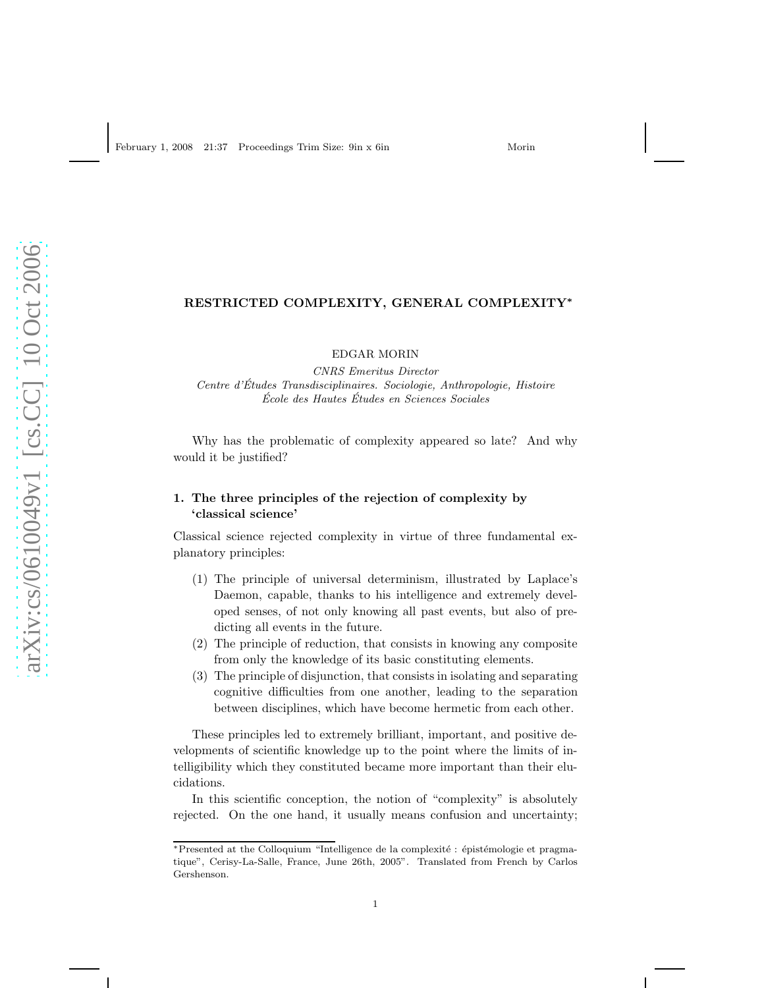#### RESTRICTED COMPLEXITY, GENERAL COMPLEXITY<sup>∗</sup>

EDGAR MORIN

CNRS Emeritus Director  $Centre d'Études Transdisciplinaires. Sociologie, Anthropologic, Histoire$  $École$  des Hautes  $Études$  en Sciences Sociales

Why has the problematic of complexity appeared so late? And why would it be justified?

# 1. The three principles of the rejection of complexity by 'classical science'

Classical science rejected complexity in virtue of three fundamental explanatory principles:

- (1) The principle of universal determinism, illustrated by Laplace's Daemon, capable, thanks to his intelligence and extremely developed senses, of not only knowing all past events, but also of predicting all events in the future.
- (2) The principle of reduction, that consists in knowing any composite from only the knowledge of its basic constituting elements.
- (3) The principle of disjunction, that consists in isolating and separating cognitive difficulties from one another, leading to the separation between disciplines, which have become hermetic from each other.

These principles led to extremely brilliant, important, and positive developments of scientific knowledge up to the point where the limits of intelligibility which they constituted became more important than their elucidations.

In this scientific conception, the notion of "complexity" is absolutely rejected. On the one hand, it usually means confusion and uncertainty;

<sup>\*</sup>Presented at the Colloquium "Intelligence de la complexité : épistémologie et pragmatique", Cerisy-La-Salle, France, June 26th, 2005". Translated from French by Carlos Gershenson.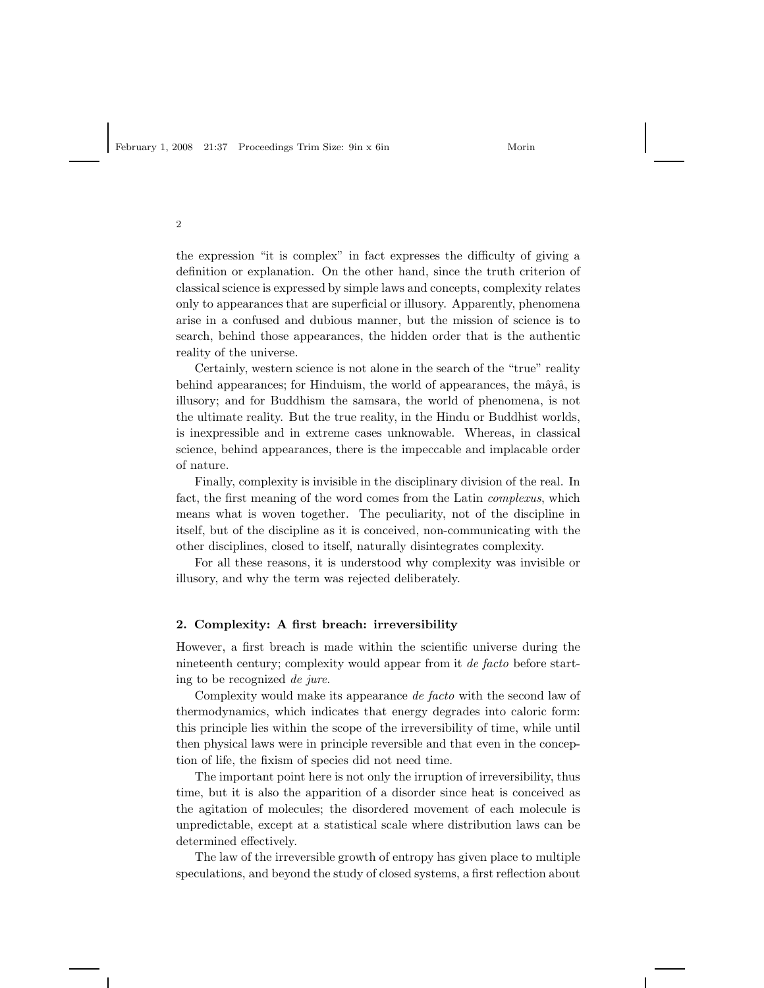the expression "it is complex" in fact expresses the difficulty of giving a definition or explanation. On the other hand, since the truth criterion of classical science is expressed by simple laws and concepts, complexity relates only to appearances that are superficial or illusory. Apparently, phenomena arise in a confused and dubious manner, but the mission of science is to search, behind those appearances, the hidden order that is the authentic reality of the universe.

Certainly, western science is not alone in the search of the "true" reality behind appearances; for Hinduism, the world of appearances, the mây $\hat{a}$ , is illusory; and for Buddhism the samsara, the world of phenomena, is not the ultimate reality. But the true reality, in the Hindu or Buddhist worlds, is inexpressible and in extreme cases unknowable. Whereas, in classical science, behind appearances, there is the impeccable and implacable order of nature.

Finally, complexity is invisible in the disciplinary division of the real. In fact, the first meaning of the word comes from the Latin *complexus*, which means what is woven together. The peculiarity, not of the discipline in itself, but of the discipline as it is conceived, non-communicating with the other disciplines, closed to itself, naturally disintegrates complexity.

For all these reasons, it is understood why complexity was invisible or illusory, and why the term was rejected deliberately.

# 2. Complexity: A first breach: irreversibility

However, a first breach is made within the scientific universe during the nineteenth century; complexity would appear from it de facto before starting to be recognized de jure.

Complexity would make its appearance de facto with the second law of thermodynamics, which indicates that energy degrades into caloric form: this principle lies within the scope of the irreversibility of time, while until then physical laws were in principle reversible and that even in the conception of life, the fixism of species did not need time.

The important point here is not only the irruption of irreversibility, thus time, but it is also the apparition of a disorder since heat is conceived as the agitation of molecules; the disordered movement of each molecule is unpredictable, except at a statistical scale where distribution laws can be determined effectively.

The law of the irreversible growth of entropy has given place to multiple speculations, and beyond the study of closed systems, a first reflection about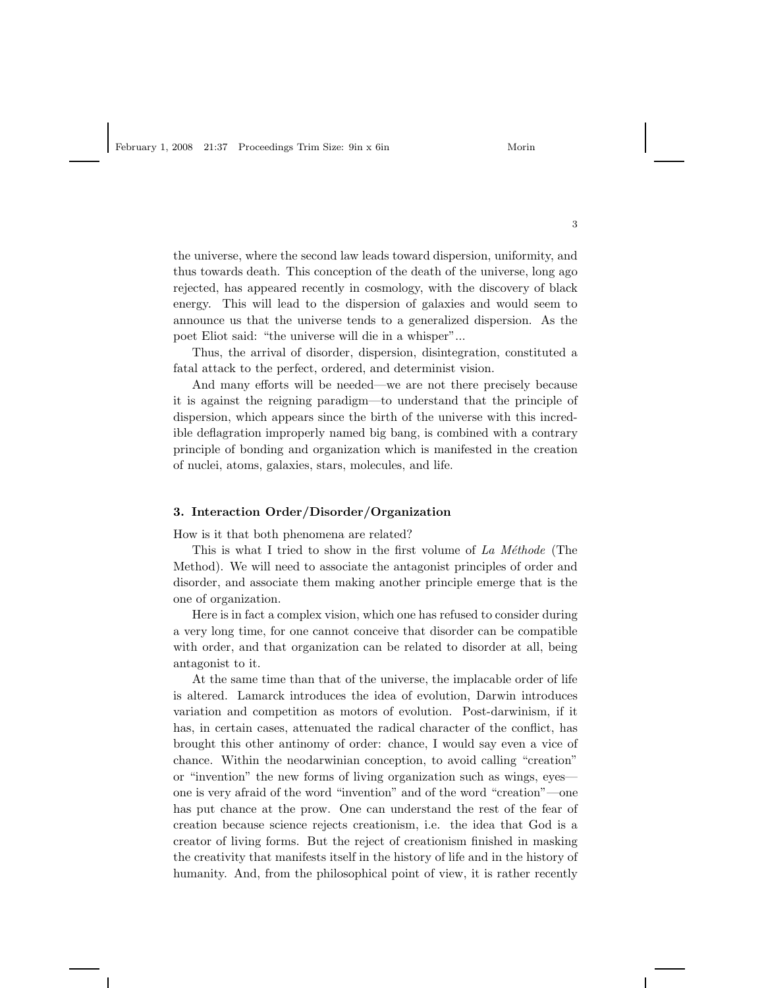the universe, where the second law leads toward dispersion, uniformity, and thus towards death. This conception of the death of the universe, long ago rejected, has appeared recently in cosmology, with the discovery of black energy. This will lead to the dispersion of galaxies and would seem to announce us that the universe tends to a generalized dispersion. As the poet Eliot said: "the universe will die in a whisper"...

Thus, the arrival of disorder, dispersion, disintegration, constituted a fatal attack to the perfect, ordered, and determinist vision.

And many efforts will be needed—we are not there precisely because it is against the reigning paradigm—to understand that the principle of dispersion, which appears since the birth of the universe with this incredible deflagration improperly named big bang, is combined with a contrary principle of bonding and organization which is manifested in the creation of nuclei, atoms, galaxies, stars, molecules, and life.

## 3. Interaction Order/Disorder/Organization

How is it that both phenomena are related?

This is what I tried to show in the first volume of  $La$  Méthode (The Method). We will need to associate the antagonist principles of order and disorder, and associate them making another principle emerge that is the one of organization.

Here is in fact a complex vision, which one has refused to consider during a very long time, for one cannot conceive that disorder can be compatible with order, and that organization can be related to disorder at all, being antagonist to it.

At the same time than that of the universe, the implacable order of life is altered. Lamarck introduces the idea of evolution, Darwin introduces variation and competition as motors of evolution. Post-darwinism, if it has, in certain cases, attenuated the radical character of the conflict, has brought this other antinomy of order: chance, I would say even a vice of chance. Within the neodarwinian conception, to avoid calling "creation" or "invention" the new forms of living organization such as wings, eyes one is very afraid of the word "invention" and of the word "creation"—one has put chance at the prow. One can understand the rest of the fear of creation because science rejects creationism, i.e. the idea that God is a creator of living forms. But the reject of creationism finished in masking the creativity that manifests itself in the history of life and in the history of humanity. And, from the philosophical point of view, it is rather recently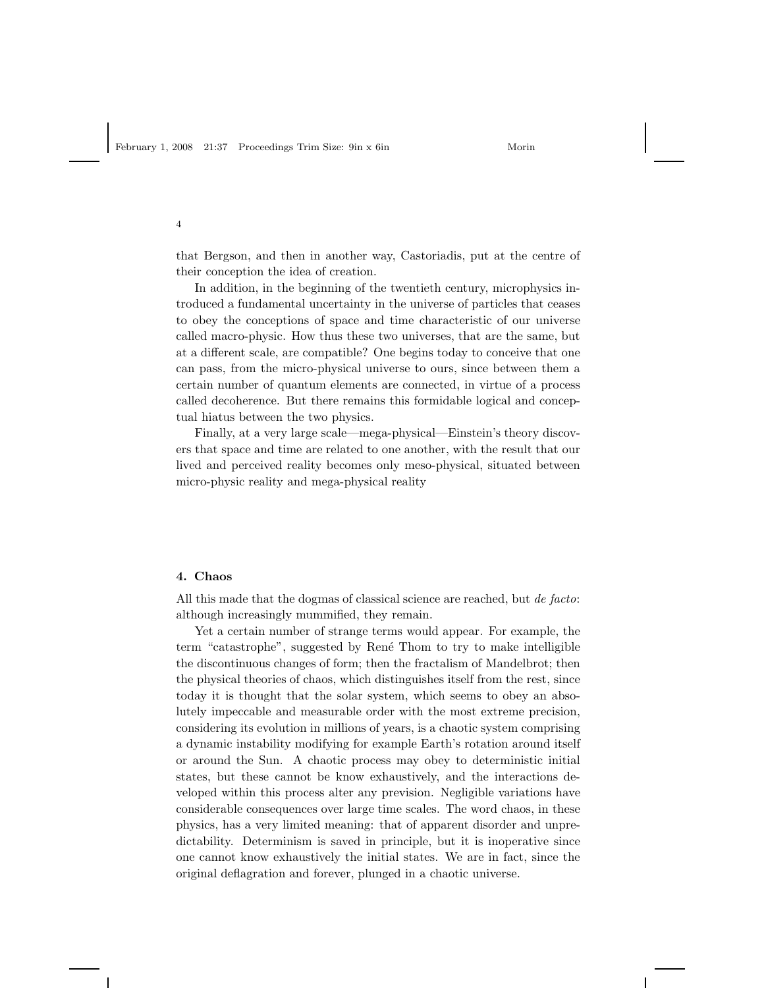that Bergson, and then in another way, Castoriadis, put at the centre of their conception the idea of creation.

In addition, in the beginning of the twentieth century, microphysics introduced a fundamental uncertainty in the universe of particles that ceases to obey the conceptions of space and time characteristic of our universe called macro-physic. How thus these two universes, that are the same, but at a different scale, are compatible? One begins today to conceive that one can pass, from the micro-physical universe to ours, since between them a certain number of quantum elements are connected, in virtue of a process called decoherence. But there remains this formidable logical and conceptual hiatus between the two physics.

Finally, at a very large scale—mega-physical—Einstein's theory discovers that space and time are related to one another, with the result that our lived and perceived reality becomes only meso-physical, situated between micro-physic reality and mega-physical reality

#### 4. Chaos

All this made that the dogmas of classical science are reached, but de facto: although increasingly mummified, they remain.

Yet a certain number of strange terms would appear. For example, the term "catastrophe", suggested by René Thom to try to make intelligible the discontinuous changes of form; then the fractalism of Mandelbrot; then the physical theories of chaos, which distinguishes itself from the rest, since today it is thought that the solar system, which seems to obey an absolutely impeccable and measurable order with the most extreme precision, considering its evolution in millions of years, is a chaotic system comprising a dynamic instability modifying for example Earth's rotation around itself or around the Sun. A chaotic process may obey to deterministic initial states, but these cannot be know exhaustively, and the interactions developed within this process alter any prevision. Negligible variations have considerable consequences over large time scales. The word chaos, in these physics, has a very limited meaning: that of apparent disorder and unpredictability. Determinism is saved in principle, but it is inoperative since one cannot know exhaustively the initial states. We are in fact, since the original deflagration and forever, plunged in a chaotic universe.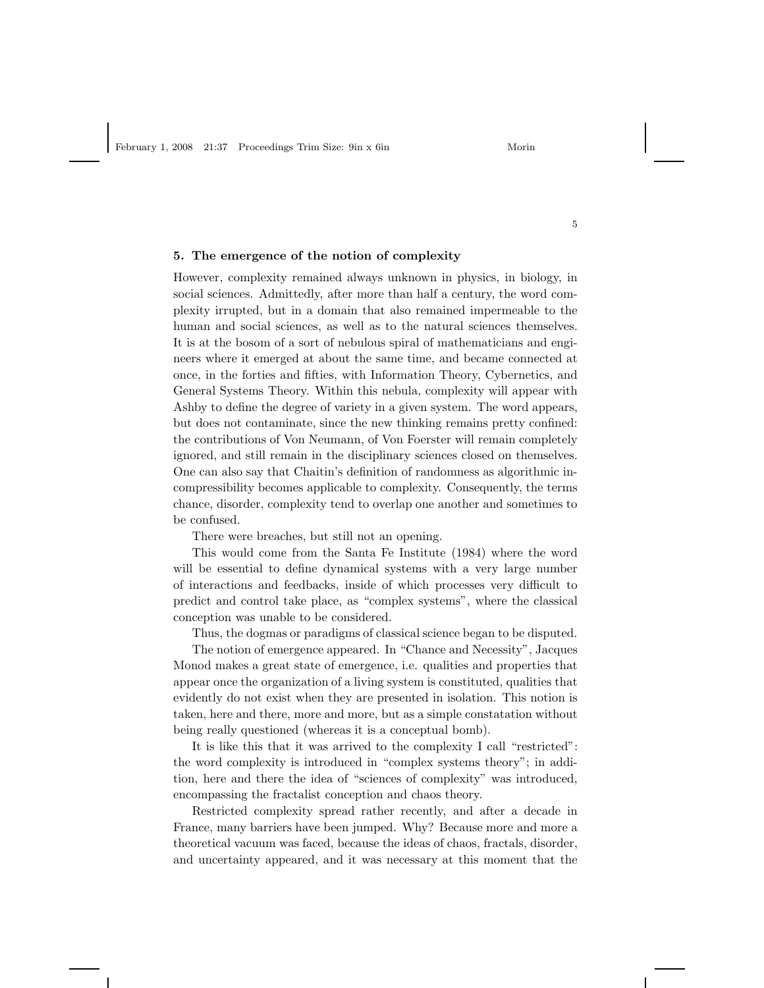#### 5. The emergence of the notion of complexity

However, complexity remained always unknown in physics, in biology, in social sciences. Admittedly, after more than half a century, the word complexity irrupted, but in a domain that also remained impermeable to the human and social sciences, as well as to the natural sciences themselves. It is at the bosom of a sort of nebulous spiral of mathematicians and engineers where it emerged at about the same time, and became connected at once, in the forties and fifties, with Information Theory, Cybernetics, and General Systems Theory. Within this nebula, complexity will appear with Ashby to define the degree of variety in a given system. The word appears, but does not contaminate, since the new thinking remains pretty confined: the contributions of Von Neumann, of Von Foerster will remain completely ignored, and still remain in the disciplinary sciences closed on themselves. One can also say that Chaitin's definition of randomness as algorithmic incompressibility becomes applicable to complexity. Consequently, the terms chance, disorder, complexity tend to overlap one another and sometimes to be confused.

There were breaches, but still not an opening.

This would come from the Santa Fe Institute (1984) where the word will be essential to define dynamical systems with a very large number of interactions and feedbacks, inside of which processes very difficult to predict and control take place, as "complex systems", where the classical conception was unable to be considered.

Thus, the dogmas or paradigms of classical science began to be disputed.

The notion of emergence appeared. In "Chance and Necessity", Jacques Monod makes a great state of emergence, i.e. qualities and properties that appear once the organization of a living system is constituted, qualities that evidently do not exist when they are presented in isolation. This notion is taken, here and there, more and more, but as a simple constatation without being really questioned (whereas it is a conceptual bomb).

It is like this that it was arrived to the complexity I call "restricted": the word complexity is introduced in "complex systems theory"; in addition, here and there the idea of "sciences of complexity" was introduced, encompassing the fractalist conception and chaos theory.

Restricted complexity spread rather recently, and after a decade in France, many barriers have been jumped. Why? Because more and more a theoretical vacuum was faced, because the ideas of chaos, fractals, disorder, and uncertainty appeared, and it was necessary at this moment that the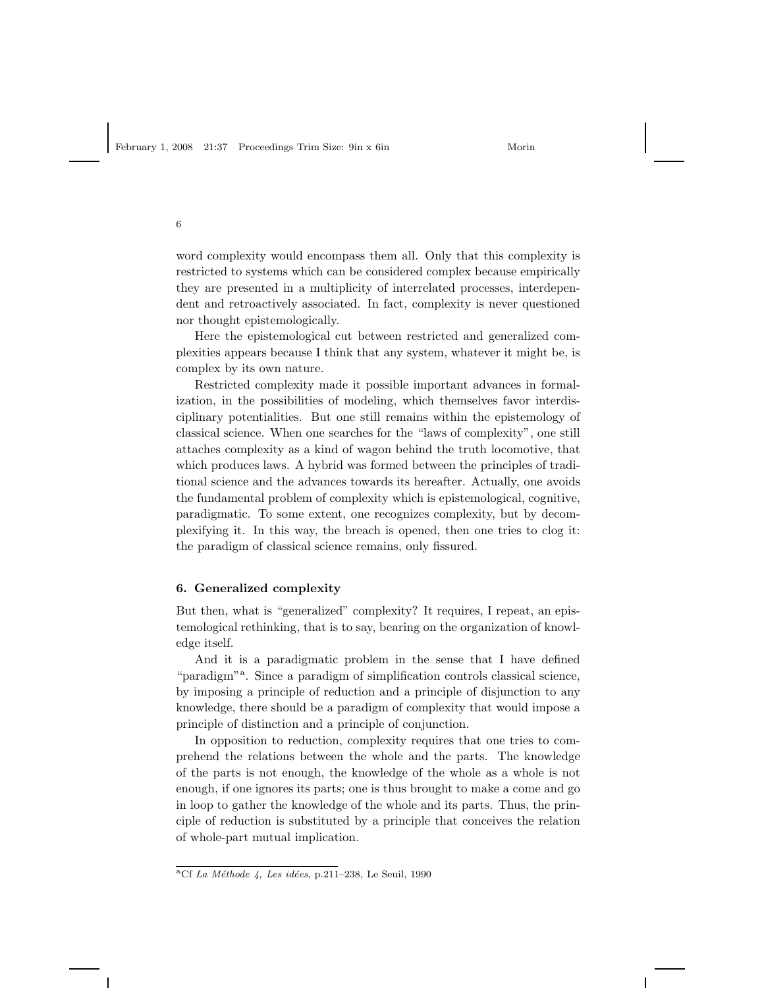word complexity would encompass them all. Only that this complexity is restricted to systems which can be considered complex because empirically they are presented in a multiplicity of interrelated processes, interdependent and retroactively associated. In fact, complexity is never questioned nor thought epistemologically.

Here the epistemological cut between restricted and generalized complexities appears because I think that any system, whatever it might be, is complex by its own nature.

Restricted complexity made it possible important advances in formalization, in the possibilities of modeling, which themselves favor interdisciplinary potentialities. But one still remains within the epistemology of classical science. When one searches for the "laws of complexity", one still attaches complexity as a kind of wagon behind the truth locomotive, that which produces laws. A hybrid was formed between the principles of traditional science and the advances towards its hereafter. Actually, one avoids the fundamental problem of complexity which is epistemological, cognitive, paradigmatic. To some extent, one recognizes complexity, but by decomplexifying it. In this way, the breach is opened, then one tries to clog it: the paradigm of classical science remains, only fissured.

## 6. Generalized complexity

But then, what is "generalized" complexity? It requires, I repeat, an epistemological rethinking, that is to say, bearing on the organization of knowledge itself.

And it is a paradigmatic problem in the sense that I have defined "paradigm"<sup>a</sup>. Since a paradigm of simplification controls classical science, by imposing a principle of reduction and a principle of disjunction to any knowledge, there should be a paradigm of complexity that would impose a principle of distinction and a principle of conjunction.

In opposition to reduction, complexity requires that one tries to comprehend the relations between the whole and the parts. The knowledge of the parts is not enough, the knowledge of the whole as a whole is not enough, if one ignores its parts; one is thus brought to make a come and go in loop to gather the knowledge of the whole and its parts. Thus, the principle of reduction is substituted by a principle that conceives the relation of whole-part mutual implication.

<sup>&</sup>lt;sup>a</sup>Cf *La Méthode 4, Les idées*, p.211–238, Le Seuil, 1990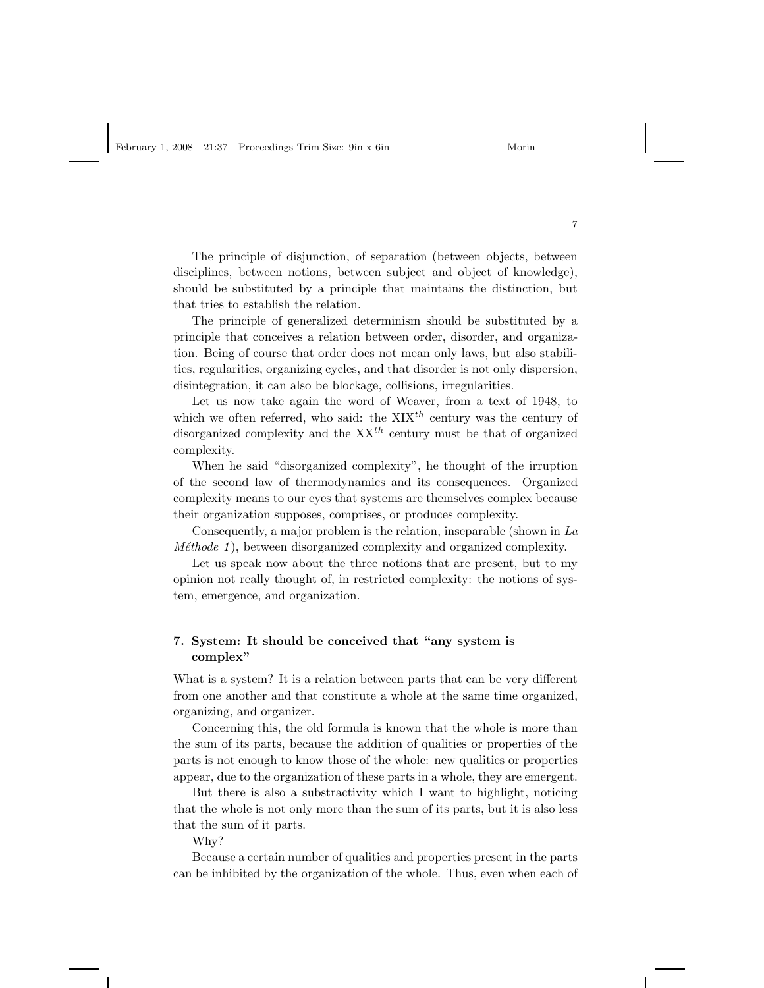The principle of disjunction, of separation (between objects, between disciplines, between notions, between subject and object of knowledge), should be substituted by a principle that maintains the distinction, but that tries to establish the relation.

The principle of generalized determinism should be substituted by a principle that conceives a relation between order, disorder, and organization. Being of course that order does not mean only laws, but also stabilities, regularities, organizing cycles, and that disorder is not only dispersion, disintegration, it can also be blockage, collisions, irregularities.

Let us now take again the word of Weaver, from a text of 1948, to which we often referred, who said: the  $XIX<sup>th</sup>$  century was the century of disorganized complexity and the  $XX<sup>th</sup>$  century must be that of organized complexity.

When he said "disorganized complexity", he thought of the irruption of the second law of thermodynamics and its consequences. Organized complexity means to our eyes that systems are themselves complex because their organization supposes, comprises, or produces complexity.

Consequently, a major problem is the relation, inseparable (shown in La  $Méthode 1$ , between disorganized complexity and organized complexity.

Let us speak now about the three notions that are present, but to my opinion not really thought of, in restricted complexity: the notions of system, emergence, and organization.

# 7. System: It should be conceived that "any system is complex"

What is a system? It is a relation between parts that can be very different from one another and that constitute a whole at the same time organized, organizing, and organizer.

Concerning this, the old formula is known that the whole is more than the sum of its parts, because the addition of qualities or properties of the parts is not enough to know those of the whole: new qualities or properties appear, due to the organization of these parts in a whole, they are emergent.

But there is also a substractivity which I want to highlight, noticing that the whole is not only more than the sum of its parts, but it is also less that the sum of it parts.

Why?

Because a certain number of qualities and properties present in the parts can be inhibited by the organization of the whole. Thus, even when each of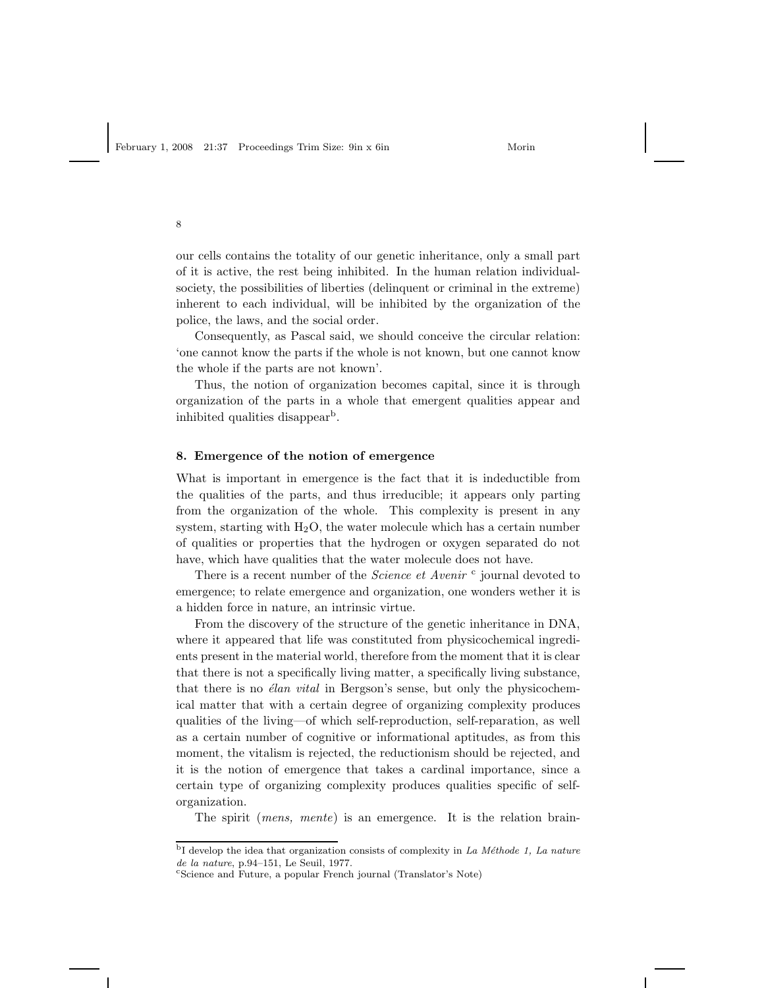our cells contains the totality of our genetic inheritance, only a small part of it is active, the rest being inhibited. In the human relation individualsociety, the possibilities of liberties (delinquent or criminal in the extreme) inherent to each individual, will be inhibited by the organization of the police, the laws, and the social order.

Consequently, as Pascal said, we should conceive the circular relation: 'one cannot know the parts if the whole is not known, but one cannot know the whole if the parts are not known'.

Thus, the notion of organization becomes capital, since it is through organization of the parts in a whole that emergent qualities appear and inhibited qualities disappear<sup>b</sup>.

#### 8. Emergence of the notion of emergence

What is important in emergence is the fact that it is indeductible from the qualities of the parts, and thus irreducible; it appears only parting from the organization of the whole. This complexity is present in any system, starting with  $H_2O$ , the water molecule which has a certain number of qualities or properties that the hydrogen or oxygen separated do not have, which have qualities that the water molecule does not have.

There is a recent number of the *Science et Avenir*  $\text{c}$  journal devoted to emergence; to relate emergence and organization, one wonders wether it is a hidden force in nature, an intrinsic virtue.

From the discovery of the structure of the genetic inheritance in DNA, where it appeared that life was constituted from physicochemical ingredients present in the material world, therefore from the moment that it is clear that there is not a specifically living matter, a specifically living substance, that there is no *élan vital* in Bergson's sense, but only the physicochemical matter that with a certain degree of organizing complexity produces qualities of the living—of which self-reproduction, self-reparation, as well as a certain number of cognitive or informational aptitudes, as from this moment, the vitalism is rejected, the reductionism should be rejected, and it is the notion of emergence that takes a cardinal importance, since a certain type of organizing complexity produces qualities specific of selforganization.

The spirit *(mens, mente)* is an emergence. It is the relation brain-

 $bI$  develop the idea that organization consists of complexity in La Méthode 1, La nature de la nature, p.94–151, Le Seuil, 1977.

<sup>c</sup>Science and Future, a popular French journal (Translator's Note)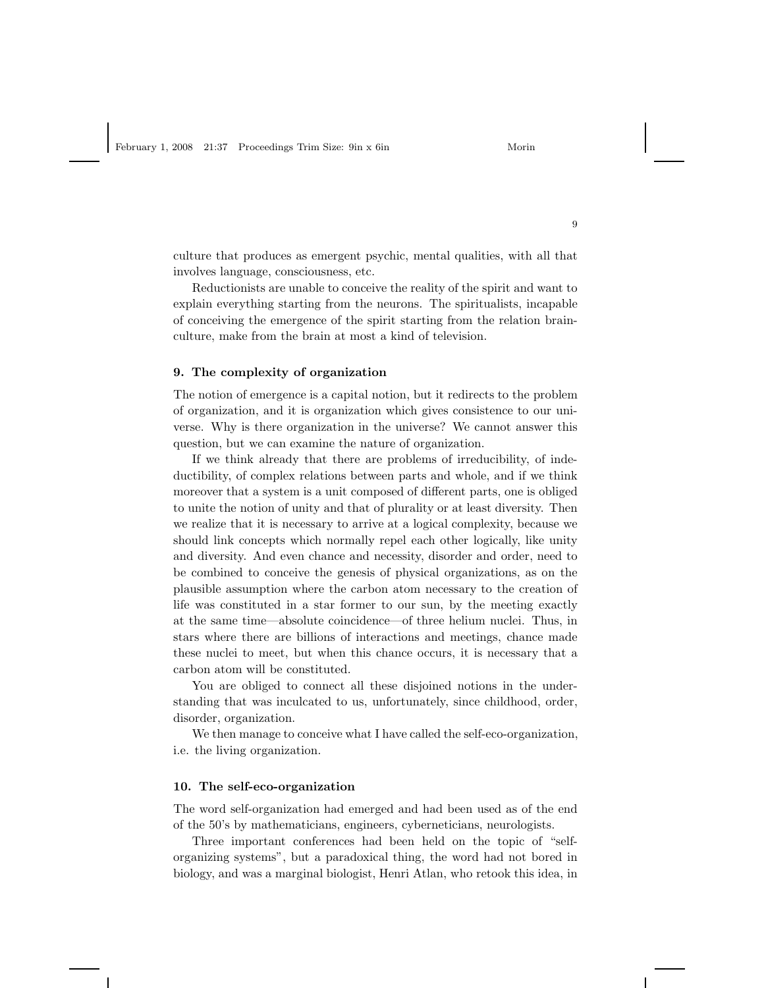culture that produces as emergent psychic, mental qualities, with all that involves language, consciousness, etc.

Reductionists are unable to conceive the reality of the spirit and want to explain everything starting from the neurons. The spiritualists, incapable of conceiving the emergence of the spirit starting from the relation brainculture, make from the brain at most a kind of television.

## 9. The complexity of organization

The notion of emergence is a capital notion, but it redirects to the problem of organization, and it is organization which gives consistence to our universe. Why is there organization in the universe? We cannot answer this question, but we can examine the nature of organization.

If we think already that there are problems of irreducibility, of indeductibility, of complex relations between parts and whole, and if we think moreover that a system is a unit composed of different parts, one is obliged to unite the notion of unity and that of plurality or at least diversity. Then we realize that it is necessary to arrive at a logical complexity, because we should link concepts which normally repel each other logically, like unity and diversity. And even chance and necessity, disorder and order, need to be combined to conceive the genesis of physical organizations, as on the plausible assumption where the carbon atom necessary to the creation of life was constituted in a star former to our sun, by the meeting exactly at the same time—absolute coincidence—of three helium nuclei. Thus, in stars where there are billions of interactions and meetings, chance made these nuclei to meet, but when this chance occurs, it is necessary that a carbon atom will be constituted.

You are obliged to connect all these disjoined notions in the understanding that was inculcated to us, unfortunately, since childhood, order, disorder, organization.

We then manage to conceive what I have called the self-eco-organization, i.e. the living organization.

#### 10. The self-eco-organization

The word self-organization had emerged and had been used as of the end of the 50's by mathematicians, engineers, cyberneticians, neurologists.

Three important conferences had been held on the topic of "selforganizing systems", but a paradoxical thing, the word had not bored in biology, and was a marginal biologist, Henri Atlan, who retook this idea, in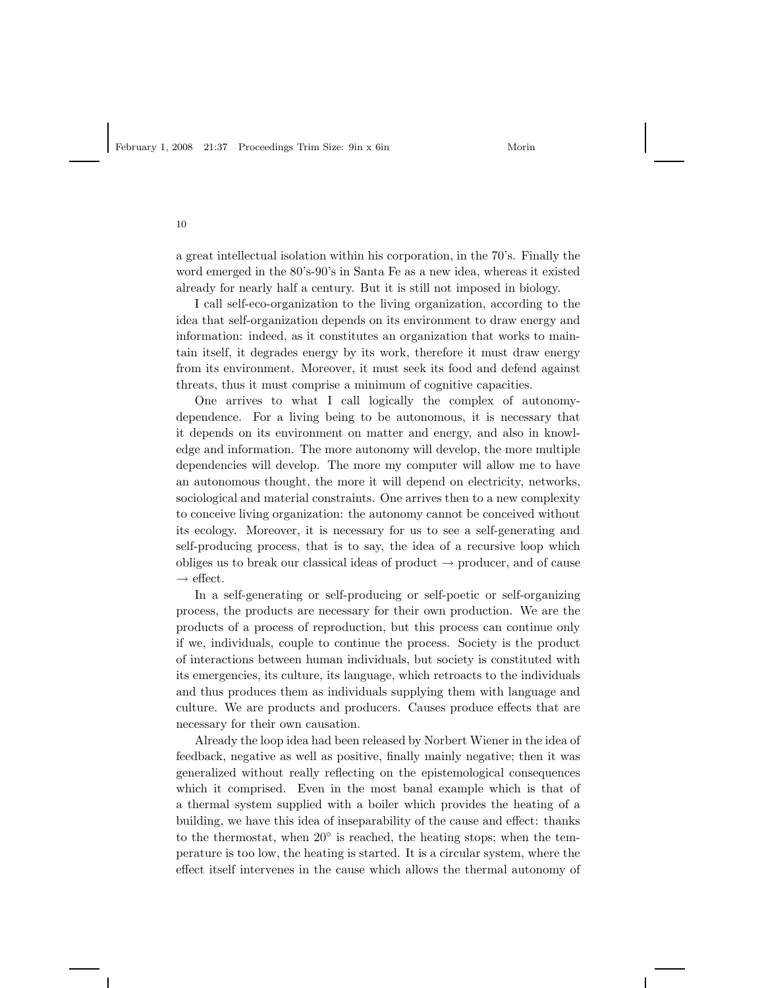a great intellectual isolation within his corporation, in the 70's. Finally the word emerged in the 80's-90's in Santa Fe as a new idea, whereas it existed already for nearly half a century. But it is still not imposed in biology.

I call self-eco-organization to the living organization, according to the idea that self-organization depends on its environment to draw energy and information: indeed, as it constitutes an organization that works to maintain itself, it degrades energy by its work, therefore it must draw energy from its environment. Moreover, it must seek its food and defend against threats, thus it must comprise a minimum of cognitive capacities.

One arrives to what I call logically the complex of autonomydependence. For a living being to be autonomous, it is necessary that it depends on its environment on matter and energy, and also in knowledge and information. The more autonomy will develop, the more multiple dependencies will develop. The more my computer will allow me to have an autonomous thought, the more it will depend on electricity, networks, sociological and material constraints. One arrives then to a new complexity to conceive living organization: the autonomy cannot be conceived without its ecology. Moreover, it is necessary for us to see a self-generating and self-producing process, that is to say, the idea of a recursive loop which obliges us to break our classical ideas of product  $\rightarrow$  producer, and of cause  $\rightarrow$  effect.

In a self-generating or self-producing or self-poetic or self-organizing process, the products are necessary for their own production. We are the products of a process of reproduction, but this process can continue only if we, individuals, couple to continue the process. Society is the product of interactions between human individuals, but society is constituted with its emergencies, its culture, its language, which retroacts to the individuals and thus produces them as individuals supplying them with language and culture. We are products and producers. Causes produce effects that are necessary for their own causation.

Already the loop idea had been released by Norbert Wiener in the idea of feedback, negative as well as positive, finally mainly negative; then it was generalized without really reflecting on the epistemological consequences which it comprised. Even in the most banal example which is that of a thermal system supplied with a boiler which provides the heating of a building, we have this idea of inseparability of the cause and effect: thanks to the thermostat, when 20° is reached, the heating stops; when the temperature is too low, the heating is started. It is a circular system, where the effect itself intervenes in the cause which allows the thermal autonomy of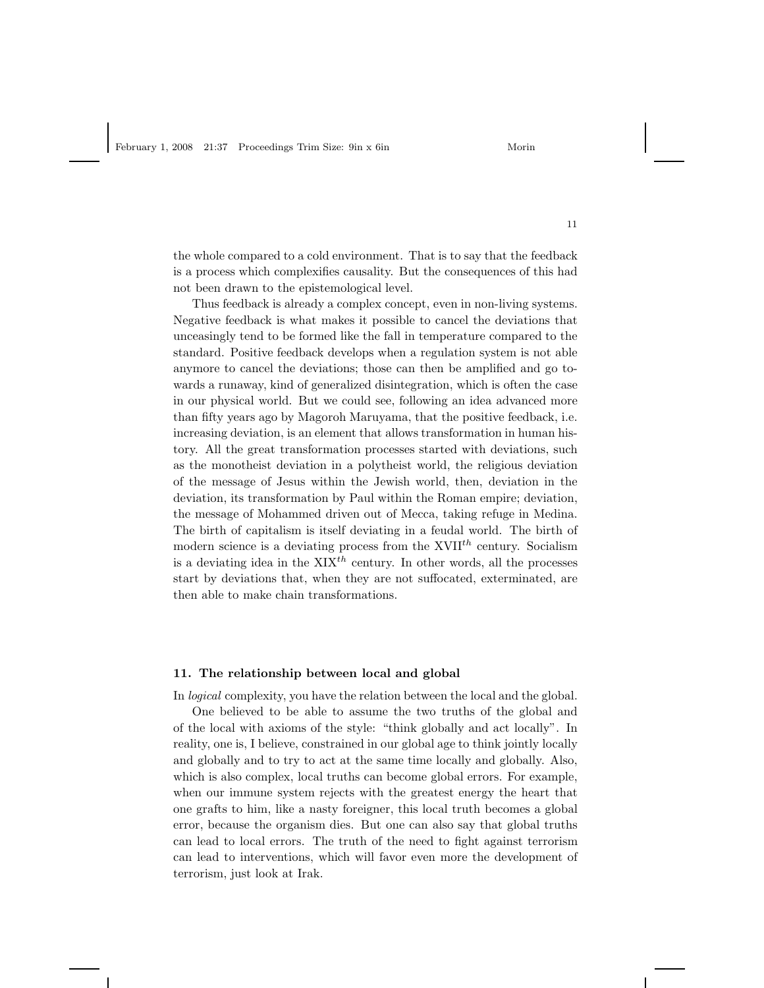the whole compared to a cold environment. That is to say that the feedback is a process which complexifies causality. But the consequences of this had not been drawn to the epistemological level.

Thus feedback is already a complex concept, even in non-living systems. Negative feedback is what makes it possible to cancel the deviations that unceasingly tend to be formed like the fall in temperature compared to the standard. Positive feedback develops when a regulation system is not able anymore to cancel the deviations; those can then be amplified and go towards a runaway, kind of generalized disintegration, which is often the case in our physical world. But we could see, following an idea advanced more than fifty years ago by Magoroh Maruyama, that the positive feedback, i.e. increasing deviation, is an element that allows transformation in human history. All the great transformation processes started with deviations, such as the monotheist deviation in a polytheist world, the religious deviation of the message of Jesus within the Jewish world, then, deviation in the deviation, its transformation by Paul within the Roman empire; deviation, the message of Mohammed driven out of Mecca, taking refuge in Medina. The birth of capitalism is itself deviating in a feudal world. The birth of modern science is a deviating process from the  $XVII^{th}$  century. Socialism is a deviating idea in the  $XIX<sup>th</sup>$  century. In other words, all the processes start by deviations that, when they are not suffocated, exterminated, are then able to make chain transformations.

## 11. The relationship between local and global

In logical complexity, you have the relation between the local and the global. One believed to be able to assume the two truths of the global and of the local with axioms of the style: "think globally and act locally". In reality, one is, I believe, constrained in our global age to think jointly locally and globally and to try to act at the same time locally and globally. Also, which is also complex, local truths can become global errors. For example, when our immune system rejects with the greatest energy the heart that one grafts to him, like a nasty foreigner, this local truth becomes a global error, because the organism dies. But one can also say that global truths can lead to local errors. The truth of the need to fight against terrorism can lead to interventions, which will favor even more the development of terrorism, just look at Irak.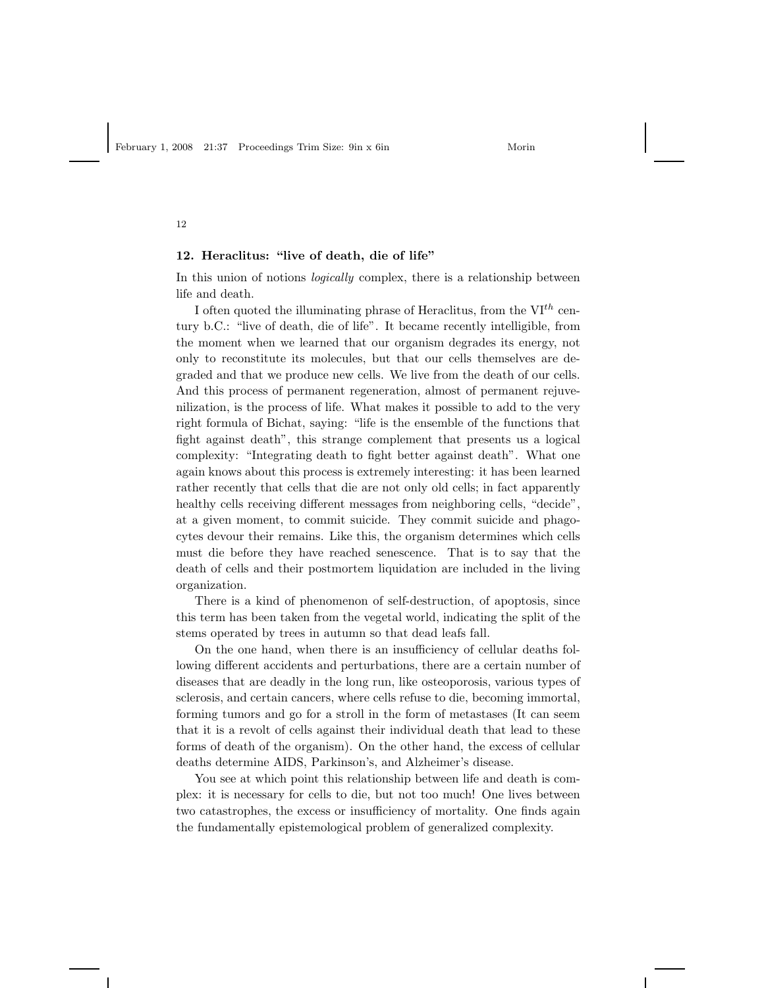# 12. Heraclitus: "live of death, die of life"

In this union of notions *logically* complex, there is a relationship between life and death.

I often quoted the illuminating phrase of Heraclitus, from the  $VI^{th}$  century b.C.: "live of death, die of life". It became recently intelligible, from the moment when we learned that our organism degrades its energy, not only to reconstitute its molecules, but that our cells themselves are degraded and that we produce new cells. We live from the death of our cells. And this process of permanent regeneration, almost of permanent rejuvenilization, is the process of life. What makes it possible to add to the very right formula of Bichat, saying: "life is the ensemble of the functions that fight against death", this strange complement that presents us a logical complexity: "Integrating death to fight better against death". What one again knows about this process is extremely interesting: it has been learned rather recently that cells that die are not only old cells; in fact apparently healthy cells receiving different messages from neighboring cells, "decide", at a given moment, to commit suicide. They commit suicide and phagocytes devour their remains. Like this, the organism determines which cells must die before they have reached senescence. That is to say that the death of cells and their postmortem liquidation are included in the living organization.

There is a kind of phenomenon of self-destruction, of apoptosis, since this term has been taken from the vegetal world, indicating the split of the stems operated by trees in autumn so that dead leafs fall.

On the one hand, when there is an insufficiency of cellular deaths following different accidents and perturbations, there are a certain number of diseases that are deadly in the long run, like osteoporosis, various types of sclerosis, and certain cancers, where cells refuse to die, becoming immortal, forming tumors and go for a stroll in the form of metastases (It can seem that it is a revolt of cells against their individual death that lead to these forms of death of the organism). On the other hand, the excess of cellular deaths determine AIDS, Parkinson's, and Alzheimer's disease.

You see at which point this relationship between life and death is complex: it is necessary for cells to die, but not too much! One lives between two catastrophes, the excess or insufficiency of mortality. One finds again the fundamentally epistemological problem of generalized complexity.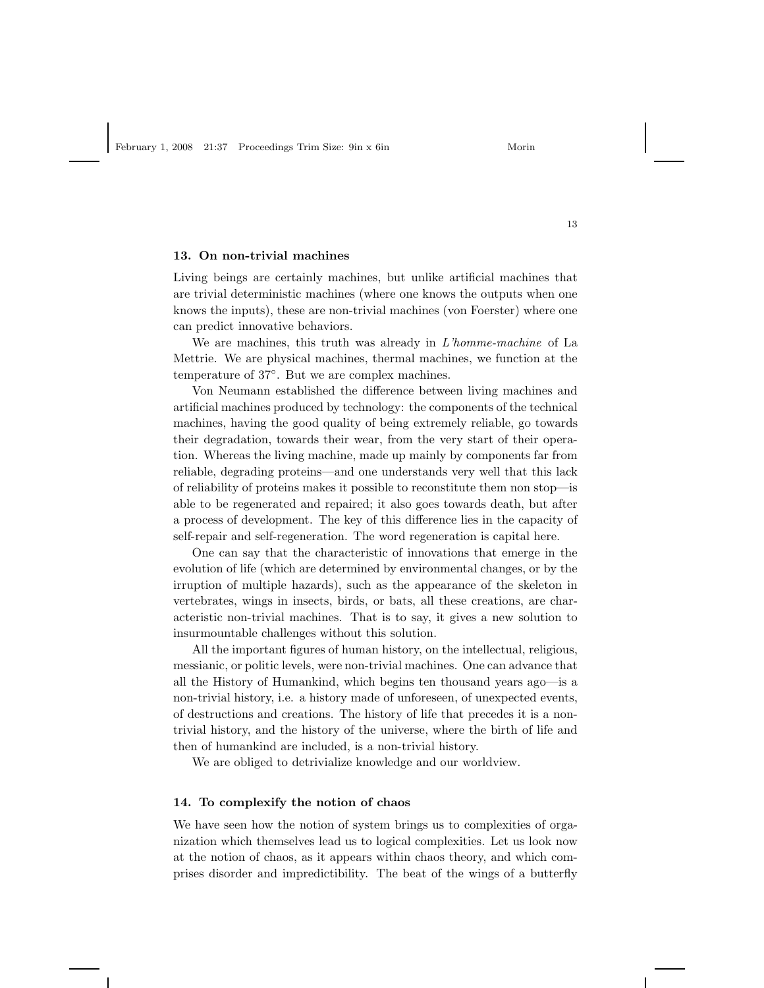#### 13. On non-trivial machines

Living beings are certainly machines, but unlike artificial machines that are trivial deterministic machines (where one knows the outputs when one knows the inputs), these are non-trivial machines (von Foerster) where one can predict innovative behaviors.

We are machines, this truth was already in *L'homme-machine* of La Mettrie. We are physical machines, thermal machines, we function at the temperature of 37<sup>°</sup>. But we are complex machines.

Von Neumann established the difference between living machines and artificial machines produced by technology: the components of the technical machines, having the good quality of being extremely reliable, go towards their degradation, towards their wear, from the very start of their operation. Whereas the living machine, made up mainly by components far from reliable, degrading proteins—and one understands very well that this lack of reliability of proteins makes it possible to reconstitute them non stop—is able to be regenerated and repaired; it also goes towards death, but after a process of development. The key of this difference lies in the capacity of self-repair and self-regeneration. The word regeneration is capital here.

One can say that the characteristic of innovations that emerge in the evolution of life (which are determined by environmental changes, or by the irruption of multiple hazards), such as the appearance of the skeleton in vertebrates, wings in insects, birds, or bats, all these creations, are characteristic non-trivial machines. That is to say, it gives a new solution to insurmountable challenges without this solution.

All the important figures of human history, on the intellectual, religious, messianic, or politic levels, were non-trivial machines. One can advance that all the History of Humankind, which begins ten thousand years ago—is a non-trivial history, i.e. a history made of unforeseen, of unexpected events, of destructions and creations. The history of life that precedes it is a nontrivial history, and the history of the universe, where the birth of life and then of humankind are included, is a non-trivial history.

We are obliged to detrivialize knowledge and our worldview.

## 14. To complexify the notion of chaos

We have seen how the notion of system brings us to complexities of organization which themselves lead us to logical complexities. Let us look now at the notion of chaos, as it appears within chaos theory, and which comprises disorder and impredictibility. The beat of the wings of a butterfly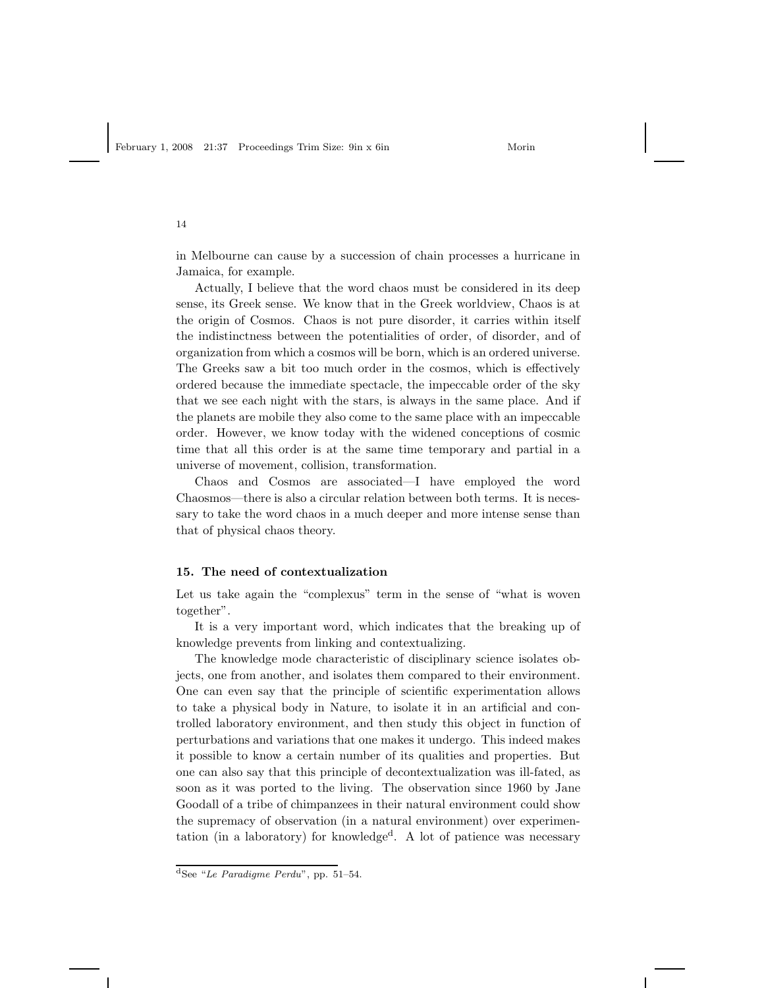in Melbourne can cause by a succession of chain processes a hurricane in Jamaica, for example.

Actually, I believe that the word chaos must be considered in its deep sense, its Greek sense. We know that in the Greek worldview, Chaos is at the origin of Cosmos. Chaos is not pure disorder, it carries within itself the indistinctness between the potentialities of order, of disorder, and of organization from which a cosmos will be born, which is an ordered universe. The Greeks saw a bit too much order in the cosmos, which is effectively ordered because the immediate spectacle, the impeccable order of the sky that we see each night with the stars, is always in the same place. And if the planets are mobile they also come to the same place with an impeccable order. However, we know today with the widened conceptions of cosmic time that all this order is at the same time temporary and partial in a universe of movement, collision, transformation.

Chaos and Cosmos are associated—I have employed the word Chaosmos—there is also a circular relation between both terms. It is necessary to take the word chaos in a much deeper and more intense sense than that of physical chaos theory.

#### 15. The need of contextualization

Let us take again the "complexus" term in the sense of "what is woven together".

It is a very important word, which indicates that the breaking up of knowledge prevents from linking and contextualizing.

The knowledge mode characteristic of disciplinary science isolates objects, one from another, and isolates them compared to their environment. One can even say that the principle of scientific experimentation allows to take a physical body in Nature, to isolate it in an artificial and controlled laboratory environment, and then study this object in function of perturbations and variations that one makes it undergo. This indeed makes it possible to know a certain number of its qualities and properties. But one can also say that this principle of decontextualization was ill-fated, as soon as it was ported to the living. The observation since 1960 by Jane Goodall of a tribe of chimpanzees in their natural environment could show the supremacy of observation (in a natural environment) over experimentation (in a laboratory) for knowledge<sup>d</sup>. A lot of patience was necessary

 $\overline{d}$ See "Le Paradigme Perdu", pp. 51–54.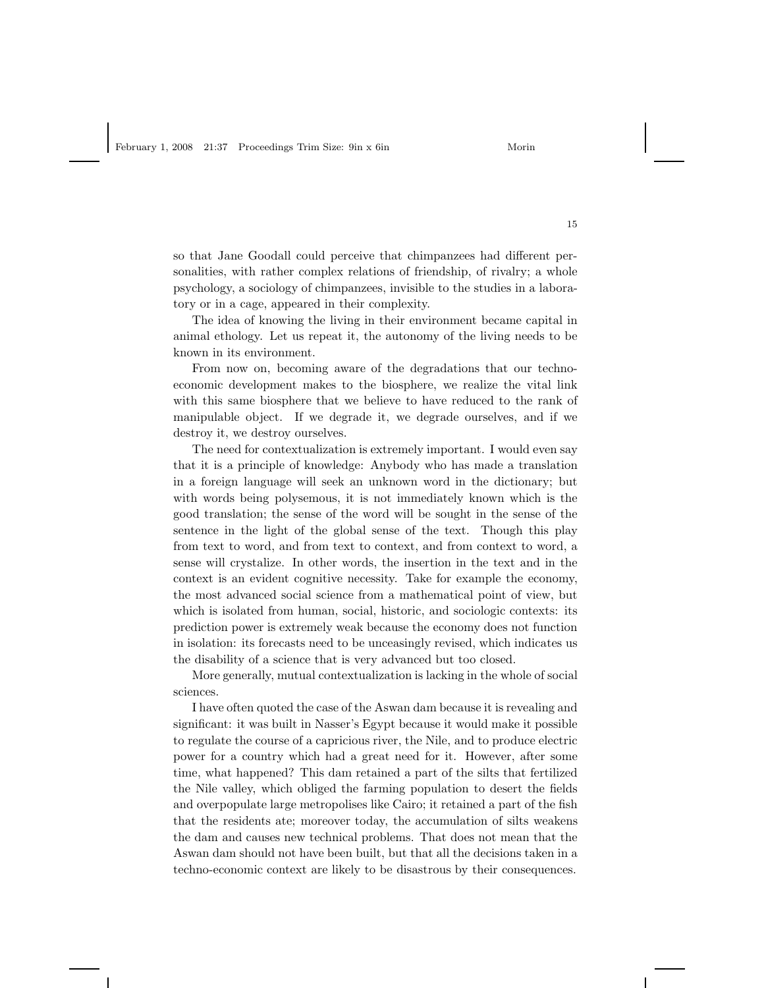so that Jane Goodall could perceive that chimpanzees had different personalities, with rather complex relations of friendship, of rivalry; a whole psychology, a sociology of chimpanzees, invisible to the studies in a laboratory or in a cage, appeared in their complexity.

The idea of knowing the living in their environment became capital in animal ethology. Let us repeat it, the autonomy of the living needs to be known in its environment.

From now on, becoming aware of the degradations that our technoeconomic development makes to the biosphere, we realize the vital link with this same biosphere that we believe to have reduced to the rank of manipulable object. If we degrade it, we degrade ourselves, and if we destroy it, we destroy ourselves.

The need for contextualization is extremely important. I would even say that it is a principle of knowledge: Anybody who has made a translation in a foreign language will seek an unknown word in the dictionary; but with words being polysemous, it is not immediately known which is the good translation; the sense of the word will be sought in the sense of the sentence in the light of the global sense of the text. Though this play from text to word, and from text to context, and from context to word, a sense will crystalize. In other words, the insertion in the text and in the context is an evident cognitive necessity. Take for example the economy, the most advanced social science from a mathematical point of view, but which is isolated from human, social, historic, and sociologic contexts: its prediction power is extremely weak because the economy does not function in isolation: its forecasts need to be unceasingly revised, which indicates us the disability of a science that is very advanced but too closed.

More generally, mutual contextualization is lacking in the whole of social sciences.

I have often quoted the case of the Aswan dam because it is revealing and significant: it was built in Nasser's Egypt because it would make it possible to regulate the course of a capricious river, the Nile, and to produce electric power for a country which had a great need for it. However, after some time, what happened? This dam retained a part of the silts that fertilized the Nile valley, which obliged the farming population to desert the fields and overpopulate large metropolises like Cairo; it retained a part of the fish that the residents ate; moreover today, the accumulation of silts weakens the dam and causes new technical problems. That does not mean that the Aswan dam should not have been built, but that all the decisions taken in a techno-economic context are likely to be disastrous by their consequences.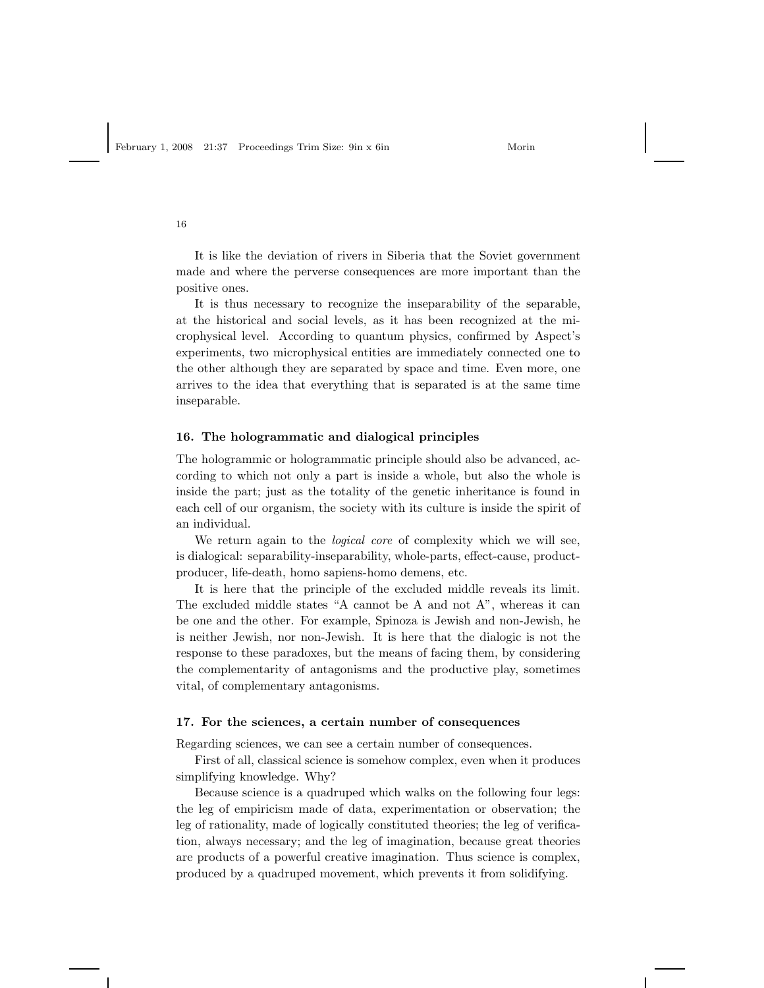It is like the deviation of rivers in Siberia that the Soviet government made and where the perverse consequences are more important than the positive ones.

It is thus necessary to recognize the inseparability of the separable, at the historical and social levels, as it has been recognized at the microphysical level. According to quantum physics, confirmed by Aspect's experiments, two microphysical entities are immediately connected one to the other although they are separated by space and time. Even more, one arrives to the idea that everything that is separated is at the same time inseparable.

## 16. The hologrammatic and dialogical principles

The hologrammic or hologrammatic principle should also be advanced, according to which not only a part is inside a whole, but also the whole is inside the part; just as the totality of the genetic inheritance is found in each cell of our organism, the society with its culture is inside the spirit of an individual.

We return again to the *logical core* of complexity which we will see, is dialogical: separability-inseparability, whole-parts, effect-cause, productproducer, life-death, homo sapiens-homo demens, etc.

It is here that the principle of the excluded middle reveals its limit. The excluded middle states "A cannot be A and not A", whereas it can be one and the other. For example, Spinoza is Jewish and non-Jewish, he is neither Jewish, nor non-Jewish. It is here that the dialogic is not the response to these paradoxes, but the means of facing them, by considering the complementarity of antagonisms and the productive play, sometimes vital, of complementary antagonisms.

## 17. For the sciences, a certain number of consequences

Regarding sciences, we can see a certain number of consequences.

First of all, classical science is somehow complex, even when it produces simplifying knowledge. Why?

Because science is a quadruped which walks on the following four legs: the leg of empiricism made of data, experimentation or observation; the leg of rationality, made of logically constituted theories; the leg of verification, always necessary; and the leg of imagination, because great theories are products of a powerful creative imagination. Thus science is complex, produced by a quadruped movement, which prevents it from solidifying.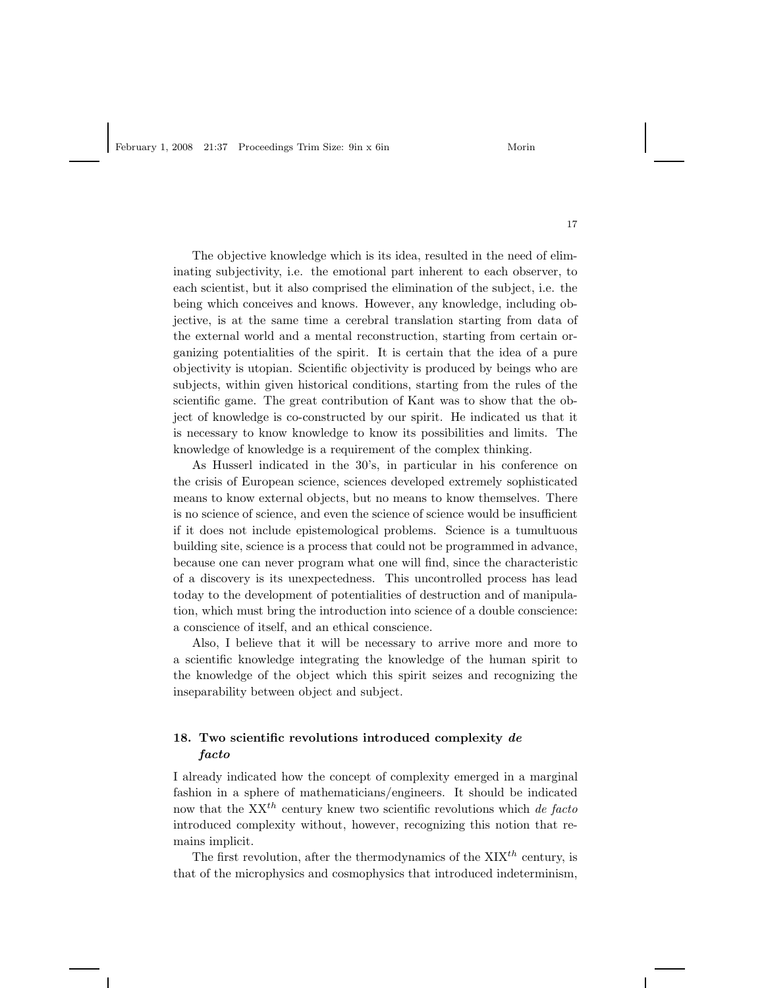The objective knowledge which is its idea, resulted in the need of eliminating subjectivity, i.e. the emotional part inherent to each observer, to each scientist, but it also comprised the elimination of the subject, i.e. the being which conceives and knows. However, any knowledge, including objective, is at the same time a cerebral translation starting from data of the external world and a mental reconstruction, starting from certain organizing potentialities of the spirit. It is certain that the idea of a pure objectivity is utopian. Scientific objectivity is produced by beings who are subjects, within given historical conditions, starting from the rules of the scientific game. The great contribution of Kant was to show that the object of knowledge is co-constructed by our spirit. He indicated us that it is necessary to know knowledge to know its possibilities and limits. The knowledge of knowledge is a requirement of the complex thinking.

As Husserl indicated in the 30's, in particular in his conference on the crisis of European science, sciences developed extremely sophisticated means to know external objects, but no means to know themselves. There is no science of science, and even the science of science would be insufficient if it does not include epistemological problems. Science is a tumultuous building site, science is a process that could not be programmed in advance, because one can never program what one will find, since the characteristic of a discovery is its unexpectedness. This uncontrolled process has lead today to the development of potentialities of destruction and of manipulation, which must bring the introduction into science of a double conscience: a conscience of itself, and an ethical conscience.

Also, I believe that it will be necessary to arrive more and more to a scientific knowledge integrating the knowledge of the human spirit to the knowledge of the object which this spirit seizes and recognizing the inseparability between object and subject.

# 18. Two scientific revolutions introduced complexity de facto

I already indicated how the concept of complexity emerged in a marginal fashion in a sphere of mathematicians/engineers. It should be indicated now that the  $XX^{th}$  century knew two scientific revolutions which de facto introduced complexity without, however, recognizing this notion that remains implicit.

The first revolution, after the thermodynamics of the  $XIX<sup>th</sup>$  century, is that of the microphysics and cosmophysics that introduced indeterminism,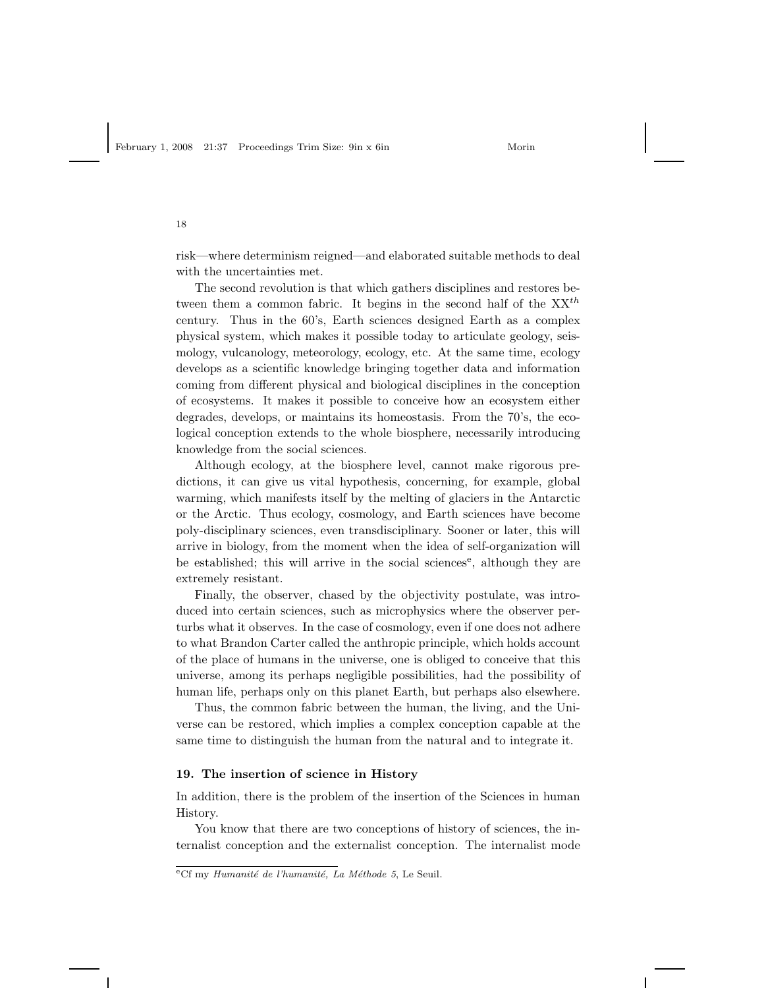knowledge from the social sciences.

18

risk—where determinism reigned—and elaborated suitable methods to deal

with the uncertainties met. The second revolution is that which gathers disciplines and restores between them a common fabric. It begins in the second half of the  $XX<sup>th</sup>$ century. Thus in the 60's, Earth sciences designed Earth as a complex physical system, which makes it possible today to articulate geology, seismology, vulcanology, meteorology, ecology, etc. At the same time, ecology develops as a scientific knowledge bringing together data and information coming from different physical and biological disciplines in the conception of ecosystems. It makes it possible to conceive how an ecosystem either degrades, develops, or maintains its homeostasis. From the 70's, the ecological conception extends to the whole biosphere, necessarily introducing

Although ecology, at the biosphere level, cannot make rigorous predictions, it can give us vital hypothesis, concerning, for example, global warming, which manifests itself by the melting of glaciers in the Antarctic or the Arctic. Thus ecology, cosmology, and Earth sciences have become poly-disciplinary sciences, even transdisciplinary. Sooner or later, this will arrive in biology, from the moment when the idea of self-organization will be established; this will arrive in the social sciences<sup>e</sup>, although they are extremely resistant.

Finally, the observer, chased by the objectivity postulate, was introduced into certain sciences, such as microphysics where the observer perturbs what it observes. In the case of cosmology, even if one does not adhere to what Brandon Carter called the anthropic principle, which holds account of the place of humans in the universe, one is obliged to conceive that this universe, among its perhaps negligible possibilities, had the possibility of human life, perhaps only on this planet Earth, but perhaps also elsewhere.

Thus, the common fabric between the human, the living, and the Universe can be restored, which implies a complex conception capable at the same time to distinguish the human from the natural and to integrate it.

## 19. The insertion of science in History

In addition, there is the problem of the insertion of the Sciences in human History.

You know that there are two conceptions of history of sciences, the internalist conception and the externalist conception. The internalist mode

 ${}^{\rm e}{\rm C}$ f my Humanité de l'humanité, La Méthode 5, Le Seuil.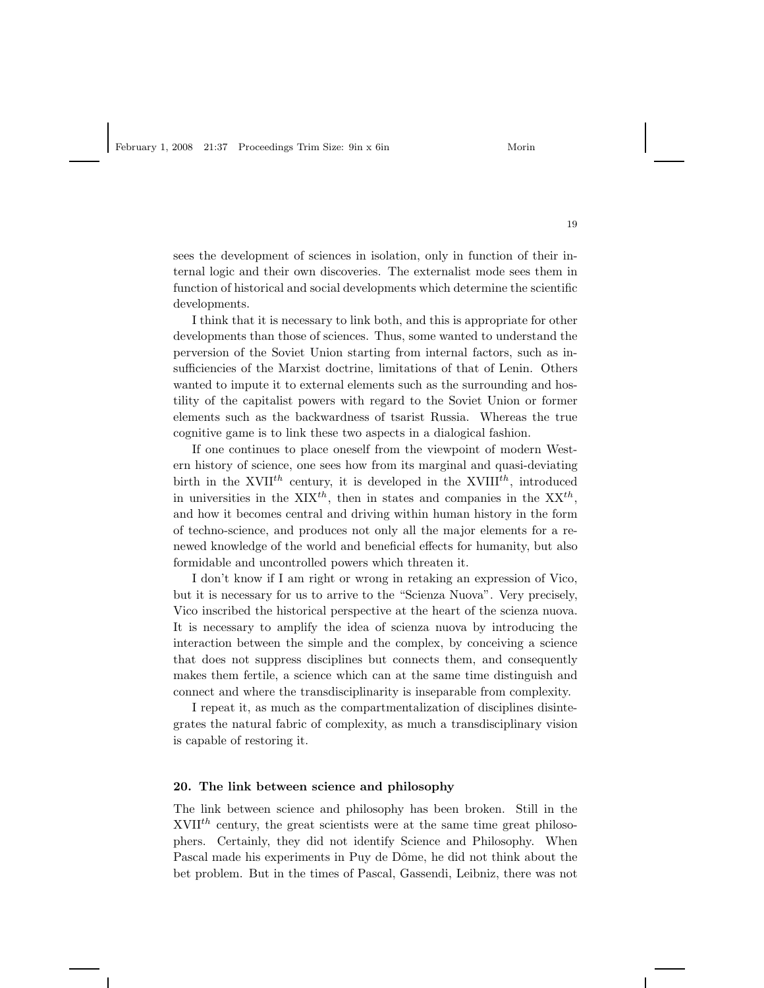sees the development of sciences in isolation, only in function of their internal logic and their own discoveries. The externalist mode sees them in function of historical and social developments which determine the scientific developments.

I think that it is necessary to link both, and this is appropriate for other developments than those of sciences. Thus, some wanted to understand the perversion of the Soviet Union starting from internal factors, such as insufficiencies of the Marxist doctrine, limitations of that of Lenin. Others wanted to impute it to external elements such as the surrounding and hostility of the capitalist powers with regard to the Soviet Union or former elements such as the backwardness of tsarist Russia. Whereas the true cognitive game is to link these two aspects in a dialogical fashion.

If one continues to place oneself from the viewpoint of modern Western history of science, one sees how from its marginal and quasi-deviating birth in the XVII<sup>th</sup> century, it is developed in the XVIII<sup>th</sup>, introduced in universities in the  $XIX^{th}$ , then in states and companies in the  $XX^{th}$ , and how it becomes central and driving within human history in the form of techno-science, and produces not only all the major elements for a renewed knowledge of the world and beneficial effects for humanity, but also formidable and uncontrolled powers which threaten it.

I don't know if I am right or wrong in retaking an expression of Vico, but it is necessary for us to arrive to the "Scienza Nuova". Very precisely, Vico inscribed the historical perspective at the heart of the scienza nuova. It is necessary to amplify the idea of scienza nuova by introducing the interaction between the simple and the complex, by conceiving a science that does not suppress disciplines but connects them, and consequently makes them fertile, a science which can at the same time distinguish and connect and where the transdisciplinarity is inseparable from complexity.

I repeat it, as much as the compartmentalization of disciplines disintegrates the natural fabric of complexity, as much a transdisciplinary vision is capable of restoring it.

#### 20. The link between science and philosophy

The link between science and philosophy has been broken. Still in the  $XVII<sup>th</sup>$  century, the great scientists were at the same time great philosophers. Certainly, they did not identify Science and Philosophy. When Pascal made his experiments in Puy de Dôme, he did not think about the bet problem. But in the times of Pascal, Gassendi, Leibniz, there was not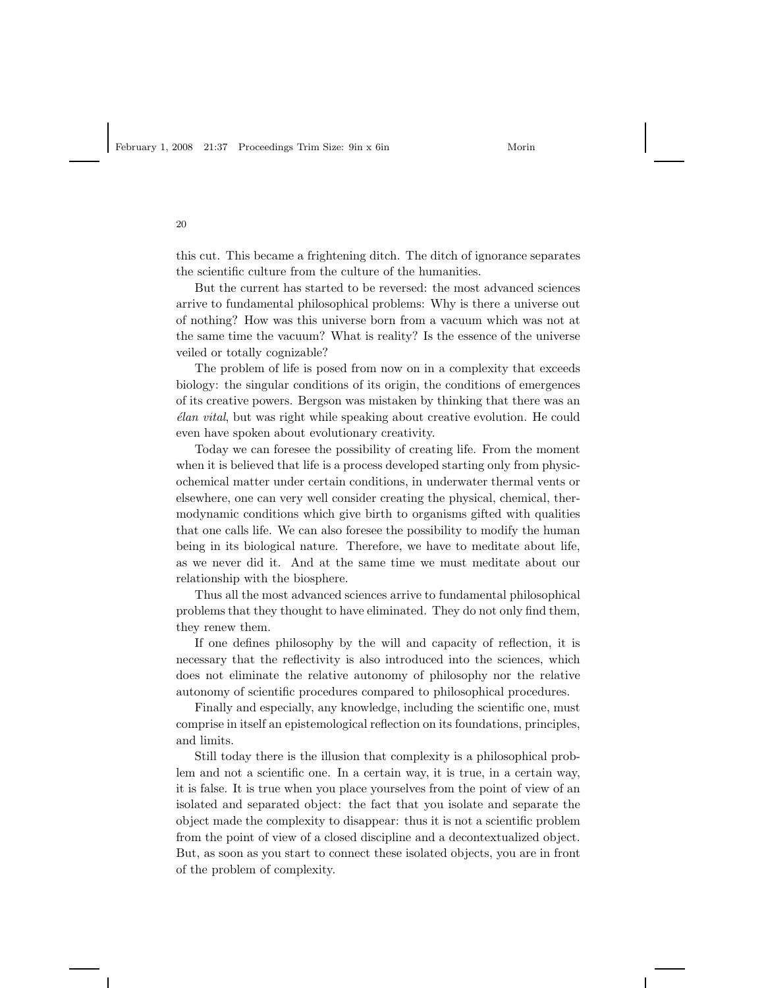this cut. This became a frightening ditch. The ditch of ignorance separates the scientific culture from the culture of the humanities.

But the current has started to be reversed: the most advanced sciences arrive to fundamental philosophical problems: Why is there a universe out of nothing? How was this universe born from a vacuum which was not at the same time the vacuum? What is reality? Is the essence of the universe veiled or totally cognizable?

The problem of life is posed from now on in a complexity that exceeds biology: the singular conditions of its origin, the conditions of emergences of its creative powers. Bergson was mistaken by thinking that there was an  $élan vital$ , but was right while speaking about creative evolution. He could even have spoken about evolutionary creativity.

Today we can foresee the possibility of creating life. From the moment when it is believed that life is a process developed starting only from physicochemical matter under certain conditions, in underwater thermal vents or elsewhere, one can very well consider creating the physical, chemical, thermodynamic conditions which give birth to organisms gifted with qualities that one calls life. We can also foresee the possibility to modify the human being in its biological nature. Therefore, we have to meditate about life, as we never did it. And at the same time we must meditate about our relationship with the biosphere.

Thus all the most advanced sciences arrive to fundamental philosophical problems that they thought to have eliminated. They do not only find them, they renew them.

If one defines philosophy by the will and capacity of reflection, it is necessary that the reflectivity is also introduced into the sciences, which does not eliminate the relative autonomy of philosophy nor the relative autonomy of scientific procedures compared to philosophical procedures.

Finally and especially, any knowledge, including the scientific one, must comprise in itself an epistemological reflection on its foundations, principles, and limits.

Still today there is the illusion that complexity is a philosophical problem and not a scientific one. In a certain way, it is true, in a certain way, it is false. It is true when you place yourselves from the point of view of an isolated and separated object: the fact that you isolate and separate the object made the complexity to disappear: thus it is not a scientific problem from the point of view of a closed discipline and a decontextualized object. But, as soon as you start to connect these isolated objects, you are in front of the problem of complexity.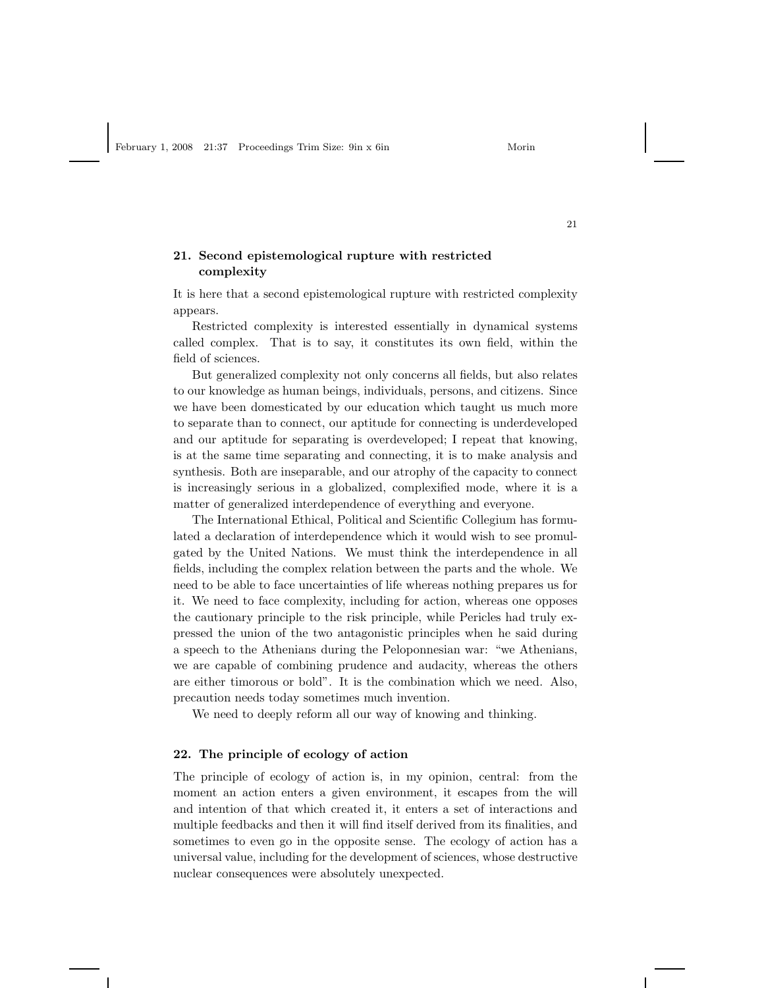# 21. Second epistemological rupture with restricted complexity

It is here that a second epistemological rupture with restricted complexity appears.

Restricted complexity is interested essentially in dynamical systems called complex. That is to say, it constitutes its own field, within the field of sciences.

But generalized complexity not only concerns all fields, but also relates to our knowledge as human beings, individuals, persons, and citizens. Since we have been domesticated by our education which taught us much more to separate than to connect, our aptitude for connecting is underdeveloped and our aptitude for separating is overdeveloped; I repeat that knowing, is at the same time separating and connecting, it is to make analysis and synthesis. Both are inseparable, and our atrophy of the capacity to connect is increasingly serious in a globalized, complexified mode, where it is a matter of generalized interdependence of everything and everyone.

The International Ethical, Political and Scientific Collegium has formulated a declaration of interdependence which it would wish to see promulgated by the United Nations. We must think the interdependence in all fields, including the complex relation between the parts and the whole. We need to be able to face uncertainties of life whereas nothing prepares us for it. We need to face complexity, including for action, whereas one opposes the cautionary principle to the risk principle, while Pericles had truly expressed the union of the two antagonistic principles when he said during a speech to the Athenians during the Peloponnesian war: "we Athenians, we are capable of combining prudence and audacity, whereas the others are either timorous or bold". It is the combination which we need. Also, precaution needs today sometimes much invention.

We need to deeply reform all our way of knowing and thinking.

## 22. The principle of ecology of action

The principle of ecology of action is, in my opinion, central: from the moment an action enters a given environment, it escapes from the will and intention of that which created it, it enters a set of interactions and multiple feedbacks and then it will find itself derived from its finalities, and sometimes to even go in the opposite sense. The ecology of action has a universal value, including for the development of sciences, whose destructive nuclear consequences were absolutely unexpected.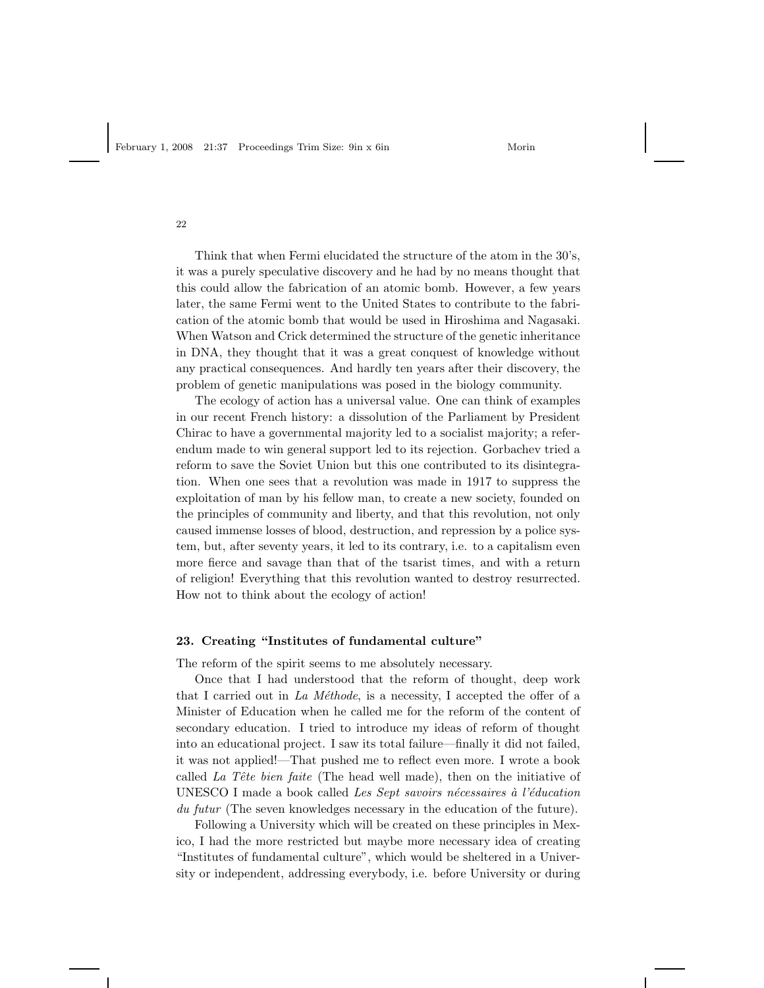Think that when Fermi elucidated the structure of the atom in the 30's, it was a purely speculative discovery and he had by no means thought that this could allow the fabrication of an atomic bomb. However, a few years later, the same Fermi went to the United States to contribute to the fabrication of the atomic bomb that would be used in Hiroshima and Nagasaki. When Watson and Crick determined the structure of the genetic inheritance in DNA, they thought that it was a great conquest of knowledge without any practical consequences. And hardly ten years after their discovery, the problem of genetic manipulations was posed in the biology community.

The ecology of action has a universal value. One can think of examples in our recent French history: a dissolution of the Parliament by President Chirac to have a governmental majority led to a socialist majority; a referendum made to win general support led to its rejection. Gorbachev tried a reform to save the Soviet Union but this one contributed to its disintegration. When one sees that a revolution was made in 1917 to suppress the exploitation of man by his fellow man, to create a new society, founded on the principles of community and liberty, and that this revolution, not only caused immense losses of blood, destruction, and repression by a police system, but, after seventy years, it led to its contrary, i.e. to a capitalism even more fierce and savage than that of the tsarist times, and with a return of religion! Everything that this revolution wanted to destroy resurrected. How not to think about the ecology of action!

#### 23. Creating "Institutes of fundamental culture"

The reform of the spirit seems to me absolutely necessary.

Once that I had understood that the reform of thought, deep work that I carried out in La Méthode, is a necessity, I accepted the offer of a Minister of Education when he called me for the reform of the content of secondary education. I tried to introduce my ideas of reform of thought into an educational project. I saw its total failure—finally it did not failed, it was not applied!—That pushed me to reflect even more. I wrote a book called La Tête bien faite (The head well made), then on the initiative of UNESCO I made a book called Les Sept savoirs nécessaires à l'éducation du futur (The seven knowledges necessary in the education of the future).

Following a University which will be created on these principles in Mexico, I had the more restricted but maybe more necessary idea of creating "Institutes of fundamental culture", which would be sheltered in a University or independent, addressing everybody, i.e. before University or during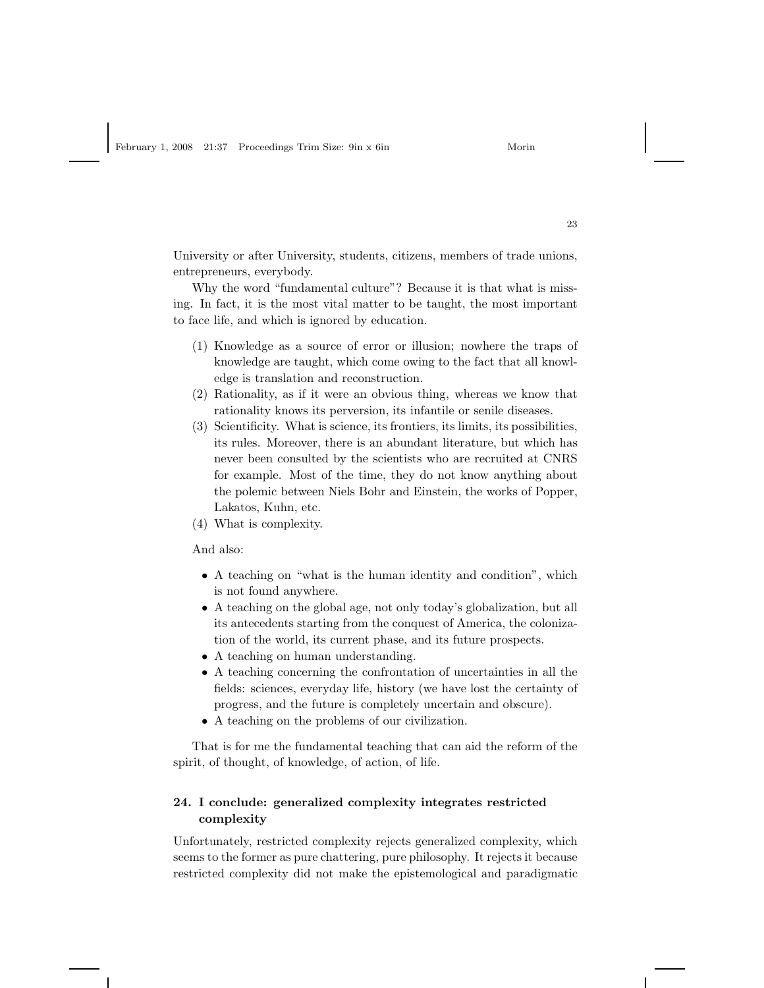University or after University, students, citizens, members of trade unions, entrepreneurs, everybody.

Why the word "fundamental culture"? Because it is that what is missing. In fact, it is the most vital matter to be taught, the most important to face life, and which is ignored by education.

- (1) Knowledge as a source of error or illusion; nowhere the traps of knowledge are taught, which come owing to the fact that all knowledge is translation and reconstruction.
- (2) Rationality, as if it were an obvious thing, whereas we know that rationality knows its perversion, its infantile or senile diseases.
- (3) Scientificity. What is science, its frontiers, its limits, its possibilities, its rules. Moreover, there is an abundant literature, but which has never been consulted by the scientists who are recruited at CNRS for example. Most of the time, they do not know anything about the polemic between Niels Bohr and Einstein, the works of Popper, Lakatos, Kuhn, etc.
- (4) What is complexity.

And also:

- A teaching on "what is the human identity and condition", which is not found anywhere.
- A teaching on the global age, not only today's globalization, but all its antecedents starting from the conquest of America, the colonization of the world, its current phase, and its future prospects.
- A teaching on human understanding.
- A teaching concerning the confrontation of uncertainties in all the fields: sciences, everyday life, history (we have lost the certainty of progress, and the future is completely uncertain and obscure).
- A teaching on the problems of our civilization.

That is for me the fundamental teaching that can aid the reform of the spirit, of thought, of knowledge, of action, of life.

# 24. I conclude: generalized complexity integrates restricted complexity

Unfortunately, restricted complexity rejects generalized complexity, which seems to the former as pure chattering, pure philosophy. It rejects it because restricted complexity did not make the epistemological and paradigmatic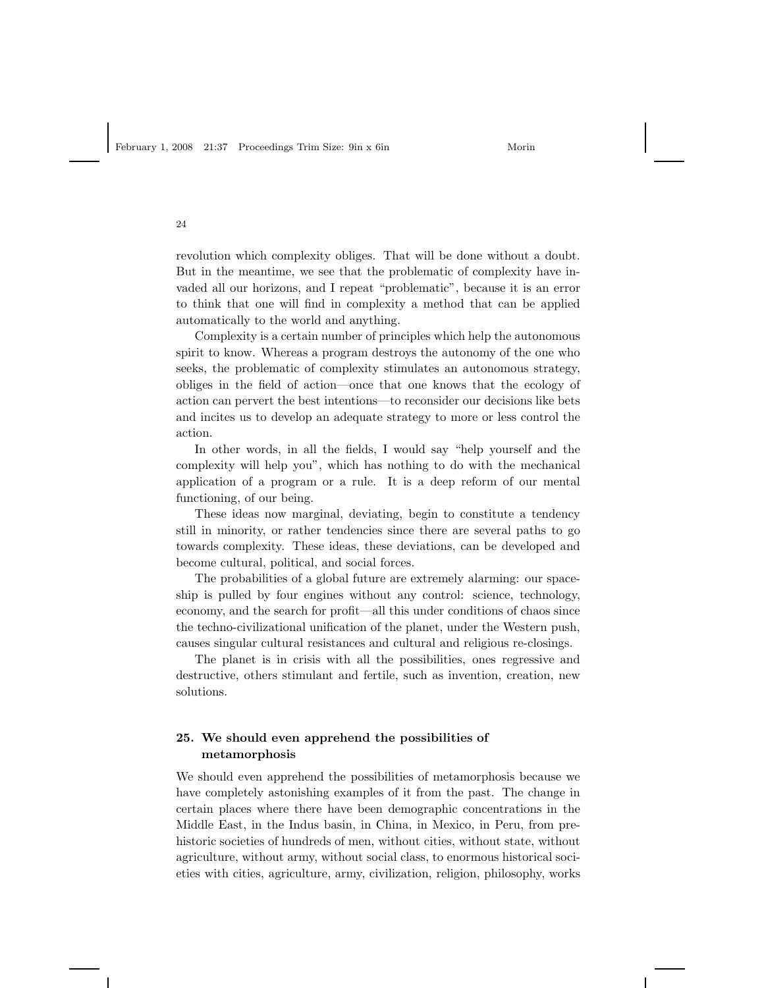revolution which complexity obliges. That will be done without a doubt. But in the meantime, we see that the problematic of complexity have invaded all our horizons, and I repeat "problematic", because it is an error to think that one will find in complexity a method that can be applied automatically to the world and anything.

Complexity is a certain number of principles which help the autonomous spirit to know. Whereas a program destroys the autonomy of the one who seeks, the problematic of complexity stimulates an autonomous strategy, obliges in the field of action—once that one knows that the ecology of action can pervert the best intentions—to reconsider our decisions like bets and incites us to develop an adequate strategy to more or less control the action.

In other words, in all the fields, I would say "help yourself and the complexity will help you", which has nothing to do with the mechanical application of a program or a rule. It is a deep reform of our mental functioning, of our being.

These ideas now marginal, deviating, begin to constitute a tendency still in minority, or rather tendencies since there are several paths to go towards complexity. These ideas, these deviations, can be developed and become cultural, political, and social forces.

The probabilities of a global future are extremely alarming: our spaceship is pulled by four engines without any control: science, technology, economy, and the search for profit—all this under conditions of chaos since the techno-civilizational unification of the planet, under the Western push, causes singular cultural resistances and cultural and religious re-closings.

The planet is in crisis with all the possibilities, ones regressive and destructive, others stimulant and fertile, such as invention, creation, new solutions.

# 25. We should even apprehend the possibilities of metamorphosis

We should even apprehend the possibilities of metamorphosis because we have completely astonishing examples of it from the past. The change in certain places where there have been demographic concentrations in the Middle East, in the Indus basin, in China, in Mexico, in Peru, from prehistoric societies of hundreds of men, without cities, without state, without agriculture, without army, without social class, to enormous historical societies with cities, agriculture, army, civilization, religion, philosophy, works